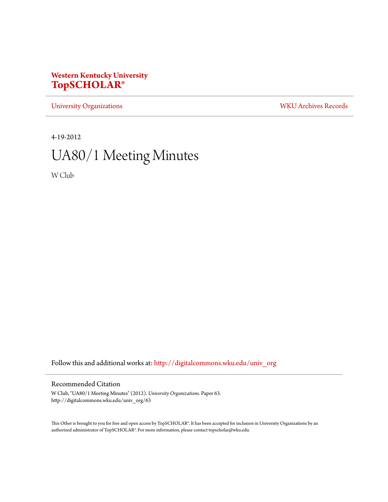## **Western Kentucky University [TopSCHOLAR®](http://digitalcommons.wku.edu?utm_source=digitalcommons.wku.edu%2Funiv_org%2F63&utm_medium=PDF&utm_campaign=PDFCoverPages)**

[University Organizations](http://digitalcommons.wku.edu/univ_org?utm_source=digitalcommons.wku.edu%2Funiv_org%2F63&utm_medium=PDF&utm_campaign=PDFCoverPages) [WKU Archives Records](http://digitalcommons.wku.edu/dlsc_ua_records?utm_source=digitalcommons.wku.edu%2Funiv_org%2F63&utm_medium=PDF&utm_campaign=PDFCoverPages)

4-19-2012

# UA80/1 Meeting Minutes

W Club

Follow this and additional works at: [http://digitalcommons.wku.edu/univ\\_org](http://digitalcommons.wku.edu/univ_org?utm_source=digitalcommons.wku.edu%2Funiv_org%2F63&utm_medium=PDF&utm_campaign=PDFCoverPages)

#### Recommended Citation

W Club, "UA80/1 Meeting Minutes" (2012). *University Organizations.* Paper 63. http://digitalcommons.wku.edu/univ\_org/63

This Other is brought to you for free and open access by TopSCHOLAR®. It has been accepted for inclusion in University Organizations by an authorized administrator of TopSCHOLAR®. For more information, please contact topscholar@wku.edu.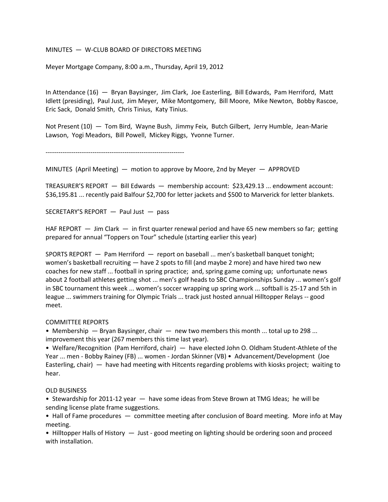#### MINUTES — W-CLUB BOARD OF DIRECTORS MEETING

Meyer Mortgage Company, 8:00 a.m., Thursday, April 19, 2012

In Attendance (16) — Bryan Baysinger, Jim Clark, Joe Easterling, Bill Edwards, Pam Herriford, Matt Idlett (presiding), Paul Just, Jim Meyer, Mike Montgomery, Bill Moore, Mike Newton, Bobby Rascoe, Eric Sack, Donald Smith, Chris Tinius, Katy Tinius.

Not Present (10) — Tom Bird, Wayne Bush, Jimmy Feix, Butch Gilbert, Jerry Humble, Jean-Marie Lawson, Yogi Meadors, Bill Powell, Mickey Riggs, Yvonne Turner.

-----------------------------------------------------------------

MINUTES (April Meeting) — motion to approve by Moore, 2nd by Meyer — APPROVED

TREASURER'S REPORT — Bill Edwards — membership account: \$23,429.13 ... endowment account: \$36,195.81 ... recently paid Balfour \$2,700 for letter jackets and \$500 to Marverick for letter blankets.

SECRETARY'S REPORT — Paul Just — pass

HAF REPORT — Jim Clark — in first quarter renewal period and have 65 new members so far; getting prepared for annual "Toppers on Tour" schedule (starting earlier this year)

SPORTS REPORT — Pam Herriford — report on baseball ... men's basketball banquet tonight; women's basketball recruiting — have 2 spots to fill (and maybe 2 more) and have hired two new coaches for new staff ... football in spring practice; and, spring game coming up; unfortunate news about 2 football athletes getting shot ... men's golf heads to SBC Championships Sunday ... women's golf in SBC tournament this week ... women's soccer wrapping up spring work ... softball is 25-17 and 5th in league ... swimmers training for Olympic Trials ... track just hosted annual Hilltopper Relays -- good meet.

#### COMMITTEE REPORTS

• Membership — Bryan Baysinger, chair — new two members this month ... total up to 298 ... improvement this year (267 members this time last year).

• Welfare/Recognition (Pam Herriford, chair) — have elected John O. Oldham Student-Athlete of the Year ... men - Bobby Rainey (FB) ... women - Jordan Skinner (VB) • Advancement/Development (Joe Easterling, chair) — have had meeting with Hitcents regarding problems with kiosks project; waiting to hear.

### OLD BUSINESS

• Stewardship for 2011-12 year — have some ideas from Steve Brown at TMG Ideas; he will be sending license plate frame suggestions.

• Hall of Fame procedures — committee meeting after conclusion of Board meeting. More info at May meeting.

• Hilltopper Halls of History  $-$  Just - good meeting on lighting should be ordering soon and proceed with installation.